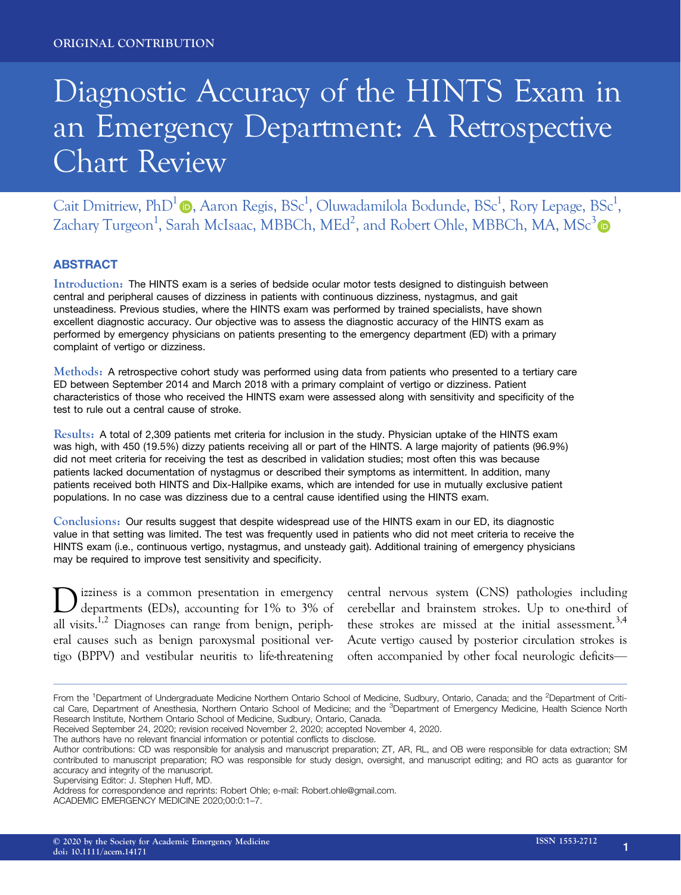# Diagnostic Accuracy of the HINTS Exam in an Emergency Department: A Retrospective Chart Review

Cait Dmitriew, PhD<sup>1</sup> (D), Aaron Regis, BSc<sup>1</sup>, Oluwadamilola Bodunde, BSc<sup>1</sup>, Rory Lepage, BSc<sup>1</sup>, Zachary Turgeon<sup>1</sup>, Sarah McIsaac, MBBCh, MEd<sup>2</sup>, and Robert Ohle, MBBCh, MA, MSc<sup>3</sup>

# **ABSTRACT**

Introduction: The HINTS exam is a series of bedside ocular motor tests designed to distinguish between central and peripheral causes of dizziness in patients with continuous dizziness, nystagmus, and gait unsteadiness. Previous studies, where the HINTS exam was performed by trained specialists, have shown excellent diagnostic accuracy. Our objective was to assess the diagnostic accuracy of the HINTS exam as performed by emergency physicians on patients presenting to the emergency department (ED) with a primary complaint of vertigo or dizziness.

Methods: A retrospective cohort study was performed using data from patients who presented to a tertiary care ED between September 2014 and March 2018 with a primary complaint of vertigo or dizziness. Patient characteristics of those who received the HINTS exam were assessed along with sensitivity and specificity of the test to rule out a central cause of stroke.

Results: A total of 2,309 patients met criteria for inclusion in the study. Physician uptake of the HINTS exam was high, with 450 (19.5%) dizzy patients receiving all or part of the HINTS. A large majority of patients (96.9%) did not meet criteria for receiving the test as described in validation studies; most often this was because patients lacked documentation of nystagmus or described their symptoms as intermittent. In addition, many patients received both HINTS and Dix-Hallpike exams, which are intended for use in mutually exclusive patient populations. In no case was dizziness due to a central cause identified using the HINTS exam.

Conclusions: Our results suggest that despite widespread use of the HINTS exam in our ED, its diagnostic value in that setting was limited. The test was frequently used in patients who did not meet criteria to receive the HINTS exam (i.e., continuous vertigo, nystagmus, and unsteady gait). Additional training of emergency physicians may be required to improve test sensitivity and specificity.

Dizziness is a common presentation in emergency<br>departments (EDs), accounting for 1% to 3% of all visits.<sup>1,2</sup> Diagnoses can range from benign, peripheral causes such as benign paroxysmal positional vertigo (BPPV) and vestibular neuritis to life-threatening

central nervous system (CNS) pathologies including cerebellar and brainstem strokes. Up to one-third of these strokes are missed at the initial assessment.<sup>3,4</sup> Acute vertigo caused by posterior circulation strokes is often accompanied by other focal neurologic deficits—

From the <sup>1</sup>Department of Undergraduate Medicine Northern Ontario School of Medicine, Sudbury, Ontario, Canada; and the <sup>2</sup>Department of Critical Care, Department of Anesthesia, Northern Ontario School of Medicine; and the <sup>3</sup>Department of Emergency Medicine, Health Science North Research Institute, Northern Ontario School of Medicine, Sudbury, Ontario, Canada.

Received September 24, 2020; revision received November 2, 2020; accepted November 4, 2020.

The authors have no relevant financial information or potential conflicts to disclose.

Author contributions: CD was responsible for analysis and manuscript preparation; ZT, AR, RL, and OB were responsible for data extraction; SM contributed to manuscript preparation; RO was responsible for study design, oversight, and manuscript editing; and RO acts as guarantor for accuracy and integrity of the manuscript.

Supervising Editor: J. Stephen Huff, MD.

Address for correspondence and reprints: Robert Ohle; e-mail: [Robert.ohle@gmail.com.](mailto:)

ACADEMIC EMERGENCY MEDICINE 2020;00:0:1–7.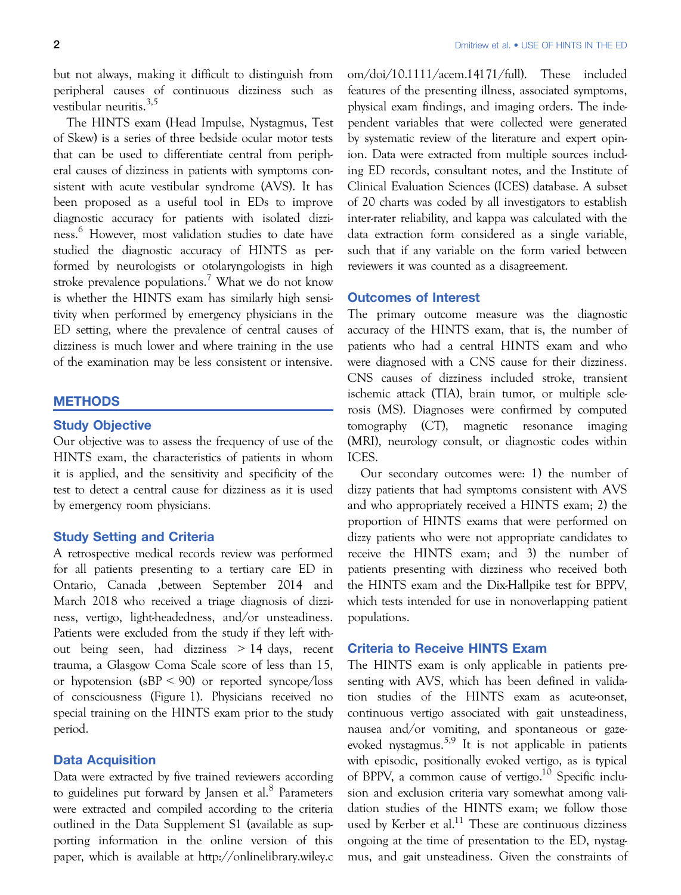but not always, making it difficult to distinguish from peripheral causes of continuous dizziness such as vestibular neuritis.<sup>3,5</sup>

The HINTS exam (Head Impulse, Nystagmus, Test of Skew) is a series of three bedside ocular motor tests that can be used to differentiate central from peripheral causes of dizziness in patients with symptoms consistent with acute vestibular syndrome (AVS). It has been proposed as a useful tool in EDs to improve diagnostic accuracy for patients with isolated dizziness. <sup>6</sup> However, most validation studies to date have studied the diagnostic accuracy of HINTS as performed by neurologists or otolaryngologists in high stroke prevalence populations.<sup>7</sup> What we do not know is whether the HINTS exam has similarly high sensitivity when performed by emergency physicians in the ED setting, where the prevalence of central causes of dizziness is much lower and where training in the use of the examination may be less consistent or intensive.

# **METHODS**

## Study Objective

Our objective was to assess the frequency of use of the HINTS exam, the characteristics of patients in whom it is applied, and the sensitivity and specificity of the test to detect a central cause for dizziness as it is used by emergency room physicians.

## Study Setting and Criteria

A retrospective medical records review was performed for all patients presenting to a tertiary care ED in Ontario, Canada ,between September 2014 and March 2018 who received a triage diagnosis of dizziness, vertigo, light-headedness, and/or unsteadiness. Patients were excluded from the study if they left without being seen, had dizziness > 14 days, recent trauma, a Glasgow Coma Scale score of less than 15, or hypotension (sBP < 90) or reported syncope/loss of consciousness (Figure 1). Physicians received no special training on the HINTS exam prior to the study period.

# Data Acquisition

Data were extracted by five trained reviewers according to guidelines put forward by Jansen et al.<sup>8</sup> Parameters were extracted and compiled according to the criteria outlined in the Data Supplement S1 (available as supporting information in the online version of this paper, which is available at [http://onlinelibrary.wiley.c](http://onlinelibrary.wiley.com/doi/10.1111/acem.14171/full) [om/doi/10.1111/acem.14171/full](http://onlinelibrary.wiley.com/doi/10.1111/acem.14171/full)). These included features of the presenting illness, associated symptoms, physical exam findings, and imaging orders. The independent variables that were collected were generated by systematic review of the literature and expert opinion. Data were extracted from multiple sources including ED records, consultant notes, and the Institute of Clinical Evaluation Sciences (ICES) database. A subset of 20 charts was coded by all investigators to establish inter-rater reliability, and kappa was calculated with the data extraction form considered as a single variable, such that if any variable on the form varied between reviewers it was counted as a disagreement.

#### Outcomes of Interest

The primary outcome measure was the diagnostic accuracy of the HINTS exam, that is, the number of patients who had a central HINTS exam and who were diagnosed with a CNS cause for their dizziness. CNS causes of dizziness included stroke, transient ischemic attack (TIA), brain tumor, or multiple sclerosis (MS). Diagnoses were confirmed by computed tomography (CT), magnetic resonance imaging (MRI), neurology consult, or diagnostic codes within ICES.

Our secondary outcomes were: 1) the number of dizzy patients that had symptoms consistent with AVS and who appropriately received a HINTS exam; 2) the proportion of HINTS exams that were performed on dizzy patients who were not appropriate candidates to receive the HINTS exam; and 3) the number of patients presenting with dizziness who received both the HINTS exam and the Dix-Hallpike test for BPPV, which tests intended for use in nonoverlapping patient populations.

# Criteria to Receive HINTS Exam

The HINTS exam is only applicable in patients presenting with AVS, which has been defined in validation studies of the HINTS exam as acute-onset, continuous vertigo associated with gait unsteadiness, nausea and/or vomiting, and spontaneous or gazeevoked nystagmus.5,9 It is not applicable in patients with episodic, positionally evoked vertigo, as is typical of BPPV, a common cause of vertigo.<sup>10</sup> Specific inclusion and exclusion criteria vary somewhat among validation studies of the HINTS exam; we follow those used by Kerber et al.<sup>11</sup> These are continuous dizziness ongoing at the time of presentation to the ED, nystagmus, and gait unsteadiness. Given the constraints of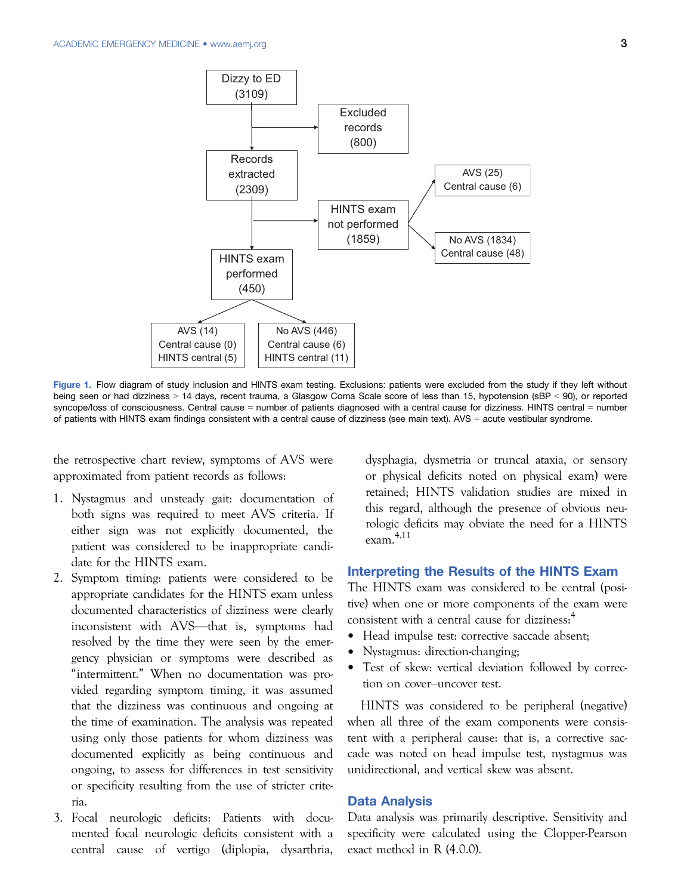

Figure 1. Flow diagram of study inclusion and HINTS exam testing. Exclusions: patients were excluded from the study if they left without being seen or had dizziness > 14 days, recent trauma, a Glasgow Coma Scale score of less than 15, hypotension (sBP < 90), or reported syncope/loss of consciousness. Central cause = number of patients diagnosed with a central cause for dizziness. HINTS central = number of patients with HINTS exam findings consistent with a central cause of dizziness (see main text). AVS = acute vestibular syndrome.

the retrospective chart review, symptoms of AVS were approximated from patient records as follows:

- 1. Nystagmus and unsteady gait: documentation of both signs was required to meet AVS criteria. If either sign was not explicitly documented, the patient was considered to be inappropriate candidate for the HINTS exam.
- 2. Symptom timing: patients were considered to be appropriate candidates for the HINTS exam unless documented characteristics of dizziness were clearly inconsistent with AVS—that is, symptoms had resolved by the time they were seen by the emergency physician or symptoms were described as "intermittent." When no documentation was provided regarding symptom timing, it was assumed that the dizziness was continuous and ongoing at the time of examination. The analysis was repeated using only those patients for whom dizziness was documented explicitly as being continuous and ongoing, to assess for differences in test sensitivity or specificity resulting from the use of stricter criteria.
- 3. Focal neurologic deficits: Patients with documented focal neurologic deficits consistent with a central cause of vertigo (diplopia, dysarthria,

dysphagia, dysmetria or truncal ataxia, or sensory or physical deficits noted on physical exam) were retained; HINTS validation studies are mixed in this regard, although the presence of obvious neurologic deficits may obviate the need for a HINTS exam. $4,11$ 

## Interpreting the Results of the HINTS Exam

The HINTS exam was considered to be central (positive) when one or more components of the exam were consistent with a central cause for dizziness:<sup>4</sup>

- Head impulse test: corrective saccade absent;
- Nystagmus: direction-changing;
- Test of skew: vertical deviation followed by correction on cover–uncover test.

HINTS was considered to be peripheral (negative) when all three of the exam components were consistent with a peripheral cause: that is, a corrective saccade was noted on head impulse test, nystagmus was unidirectional, and vertical skew was absent.

#### Data Analysis

Data analysis was primarily descriptive. Sensitivity and specificity were calculated using the Clopper-Pearson exact method in R (4.0.0).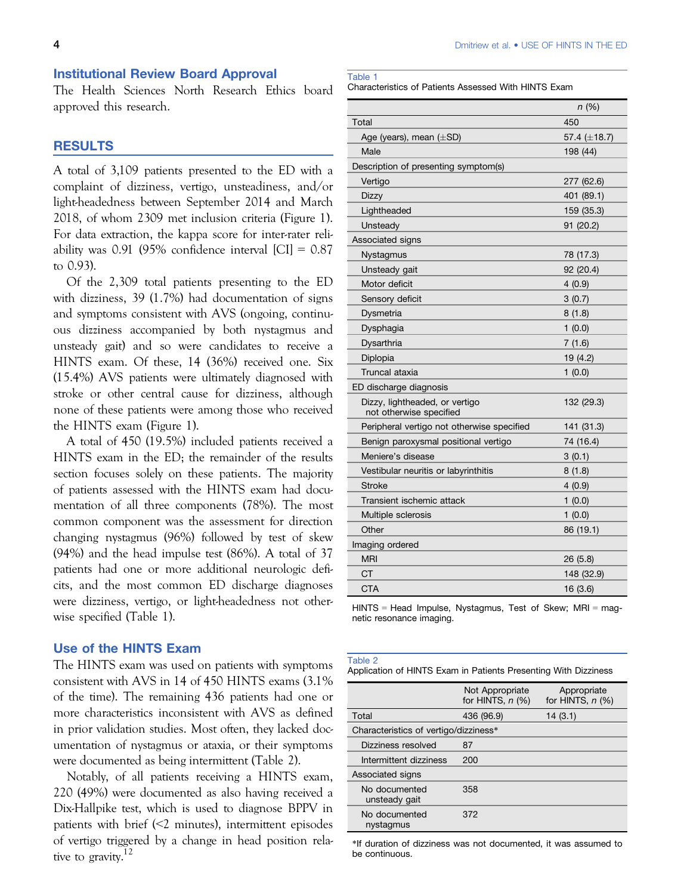# Institutional Review Board Approval

The Health Sciences North Research Ethics board approved this research.

#### RESULTS

A total of 3,109 patients presented to the ED with a complaint of dizziness, vertigo, unsteadiness, and/or light-headedness between September 2014 and March 2018, of whom 2309 met inclusion criteria (Figure 1). For data extraction, the kappa score for inter-rater reliability was 0.91 (95% confidence interval [CI] = 0.87 to 0.93).

Of the 2,309 total patients presenting to the ED with dizziness, 39 (1.7%) had documentation of signs and symptoms consistent with AVS (ongoing, continuous dizziness accompanied by both nystagmus and unsteady gait) and so were candidates to receive a HINTS exam. Of these, 14 (36%) received one. Six (15.4%) AVS patients were ultimately diagnosed with stroke or other central cause for dizziness, although none of these patients were among those who received the HINTS exam (Figure 1).

A total of 450 (19.5%) included patients received a HINTS exam in the ED; the remainder of the results section focuses solely on these patients. The majority of patients assessed with the HINTS exam had documentation of all three components (78%). The most common component was the assessment for direction changing nystagmus (96%) followed by test of skew (94%) and the head impulse test (86%). A total of 37 patients had one or more additional neurologic deficits, and the most common ED discharge diagnoses were dizziness, vertigo, or light-headedness not otherwise specified (Table 1).

# Use of the HINTS Exam

The HINTS exam was used on patients with symptoms consistent with AVS in 14 of 450 HINTS exams (3.1% of the time). The remaining 436 patients had one or more characteristics inconsistent with AVS as defined in prior validation studies. Most often, they lacked documentation of nystagmus or ataxia, or their symptoms were documented as being intermittent (Table 2).

Notably, of all patients receiving a HINTS exam, 220 (49%) were documented as also having received a Dix-Hallpike test, which is used to diagnose BPPV in patients with brief  $\leq 2$  minutes), intermittent episodes of vertigo triggered by a change in head position relative to gravity. $12$ 

| a. |  |  |
|----|--|--|
|    |  |  |

Characteristics of Patients Assessed With HINTS Exam

|                                                           | n(%)         |  |  |
|-----------------------------------------------------------|--------------|--|--|
| Total                                                     | 450          |  |  |
| Age (years), mean (±SD)                                   | 57.4 (±18.7) |  |  |
| Male                                                      | 198 (44)     |  |  |
| Description of presenting symptom(s)                      |              |  |  |
| Vertigo                                                   | 277 (62.6)   |  |  |
| <b>Dizzy</b>                                              | 401 (89.1)   |  |  |
| Lightheaded                                               | 159 (35.3)   |  |  |
| Unsteady                                                  | 91 (20.2)    |  |  |
| Associated signs                                          |              |  |  |
| Nystagmus                                                 | 78 (17.3)    |  |  |
| Unsteady gait                                             | 92 (20.4)    |  |  |
| Motor deficit                                             | 4(0.9)       |  |  |
| Sensory deficit                                           | 3(0.7)       |  |  |
| Dysmetria                                                 | 8(1.8)       |  |  |
| Dysphagia                                                 | 1(0.0)       |  |  |
| Dysarthria                                                | 7(1.6)       |  |  |
| Diplopia                                                  | 19 (4.2)     |  |  |
| Truncal ataxia                                            | 1(0.0)       |  |  |
| ED discharge diagnosis                                    |              |  |  |
| Dizzy, lightheaded, or vertigo<br>not otherwise specified | 132 (29.3)   |  |  |
| Peripheral vertigo not otherwise specified                | 141 (31.3)   |  |  |
| Benign paroxysmal positional vertigo                      | 74 (16.4)    |  |  |
| Meniere's disease                                         | 3(0.1)       |  |  |
| Vestibular neuritis or labyrinthitis                      | 8(1.8)       |  |  |
| <b>Stroke</b>                                             | 4(0.9)       |  |  |
| Transient ischemic attack                                 | 1(0.0)       |  |  |
| Multiple sclerosis                                        | 1(0.0)       |  |  |
| Other                                                     | 86 (19.1)    |  |  |
| Imaging ordered                                           |              |  |  |
| <b>MRI</b>                                                | 26 (5.8)     |  |  |
| СT                                                        | 148 (32.9)   |  |  |
| <b>CTA</b>                                                | 16 (3.6)     |  |  |

HINTS = Head Impulse, Nystagmus, Test of Skew; MRI = magnetic resonance imaging.

#### Table 2

Application of HINTS Exam in Patients Presenting With Dizziness

|                                       | Not Appropriate<br>for HINTS, $n$ $(\%)$ | Appropriate<br>for HINTS, $n$ (%) |  |  |
|---------------------------------------|------------------------------------------|-----------------------------------|--|--|
| Total                                 | 436 (96.9)                               | 14(3.1)                           |  |  |
| Characteristics of vertigo/dizziness* |                                          |                                   |  |  |
| Dizziness resolved                    | 87                                       |                                   |  |  |
| Intermittent dizziness                | 200                                      |                                   |  |  |
| Associated signs                      |                                          |                                   |  |  |
| No documented<br>unsteady gait        | 358                                      |                                   |  |  |
| No documented<br>nystagmus            | 372                                      |                                   |  |  |

\*If duration of dizziness was not documented, it was assumed to be continuous.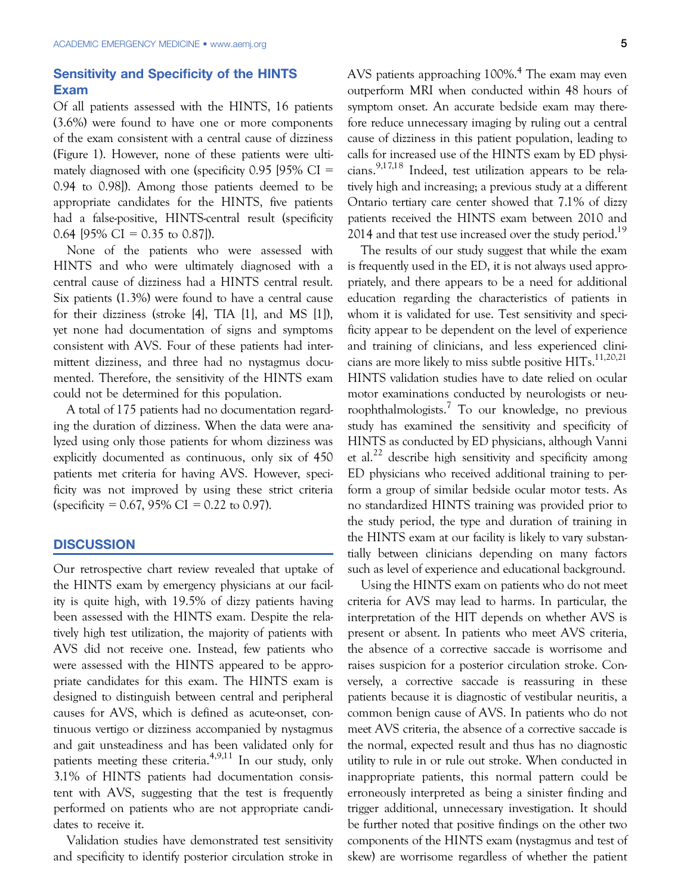# Sensitivity and Specificity of the HINTS Exam

Of all patients assessed with the HINTS, 16 patients (3.6%) were found to have one or more components of the exam consistent with a central cause of dizziness (Figure 1). However, none of these patients were ultimately diagnosed with one (specificity  $0.95$  [95% CI = 0.94 to 0.98]). Among those patients deemed to be appropriate candidates for the HINTS, five patients had a false-positive, HINTS-central result (specificity 0.64 [95% CI = 0.35 to 0.87]).

None of the patients who were assessed with HINTS and who were ultimately diagnosed with a central cause of dizziness had a HINTS central result. Six patients (1.3%) were found to have a central cause for their dizziness (stroke [4], TIA [1], and MS [1]), yet none had documentation of signs and symptoms consistent with AVS. Four of these patients had intermittent dizziness, and three had no nystagmus documented. Therefore, the sensitivity of the HINTS exam could not be determined for this population.

A total of 175 patients had no documentation regarding the duration of dizziness. When the data were analyzed using only those patients for whom dizziness was explicitly documented as continuous, only six of 450 patients met criteria for having AVS. However, specificity was not improved by using these strict criteria (specificity = 0.67, 95% CI = 0.22 to 0.97).

# **DISCUSSION**

Our retrospective chart review revealed that uptake of the HINTS exam by emergency physicians at our facility is quite high, with 19.5% of dizzy patients having been assessed with the HINTS exam. Despite the relatively high test utilization, the majority of patients with AVS did not receive one. Instead, few patients who were assessed with the HINTS appeared to be appropriate candidates for this exam. The HINTS exam is designed to distinguish between central and peripheral causes for AVS, which is defined as acute-onset, continuous vertigo or dizziness accompanied by nystagmus and gait unsteadiness and has been validated only for patients meeting these criteria.<sup>4,9,11</sup> In our study, only 3.1% of HINTS patients had documentation consistent with AVS, suggesting that the test is frequently performed on patients who are not appropriate candidates to receive it.

Validation studies have demonstrated test sensitivity and specificity to identify posterior circulation stroke in AVS patients approaching 100%.<sup>4</sup> The exam may even outperform MRI when conducted within 48 hours of symptom onset. An accurate bedside exam may therefore reduce unnecessary imaging by ruling out a central cause of dizziness in this patient population, leading to calls for increased use of the HINTS exam by ED physicians.9,17,18 Indeed, test utilization appears to be relatively high and increasing; a previous study at a different Ontario tertiary care center showed that 7.1% of dizzy patients received the HINTS exam between 2010 and 2014 and that test use increased over the study period.<sup>19</sup>

The results of our study suggest that while the exam is frequently used in the ED, it is not always used appropriately, and there appears to be a need for additional education regarding the characteristics of patients in whom it is validated for use. Test sensitivity and specificity appear to be dependent on the level of experience and training of clinicians, and less experienced clinicians are more likely to miss subtle positive HITs.<sup>11,20,21</sup> HINTS validation studies have to date relied on ocular motor examinations conducted by neurologists or neuroophthalmologists.<sup>7</sup> To our knowledge, no previous study has examined the sensitivity and specificity of HINTS as conducted by ED physicians, although Vanni et al.<sup>22</sup> describe high sensitivity and specificity among ED physicians who received additional training to perform a group of similar bedside ocular motor tests. As no standardized HINTS training was provided prior to the study period, the type and duration of training in the HINTS exam at our facility is likely to vary substantially between clinicians depending on many factors such as level of experience and educational background.

Using the HINTS exam on patients who do not meet criteria for AVS may lead to harms. In particular, the interpretation of the HIT depends on whether AVS is present or absent. In patients who meet AVS criteria, the absence of a corrective saccade is worrisome and raises suspicion for a posterior circulation stroke. Conversely, a corrective saccade is reassuring in these patients because it is diagnostic of vestibular neuritis, a common benign cause of AVS. In patients who do not meet AVS criteria, the absence of a corrective saccade is the normal, expected result and thus has no diagnostic utility to rule in or rule out stroke. When conducted in inappropriate patients, this normal pattern could be erroneously interpreted as being a sinister finding and trigger additional, unnecessary investigation. It should be further noted that positive findings on the other two components of the HINTS exam (nystagmus and test of skew) are worrisome regardless of whether the patient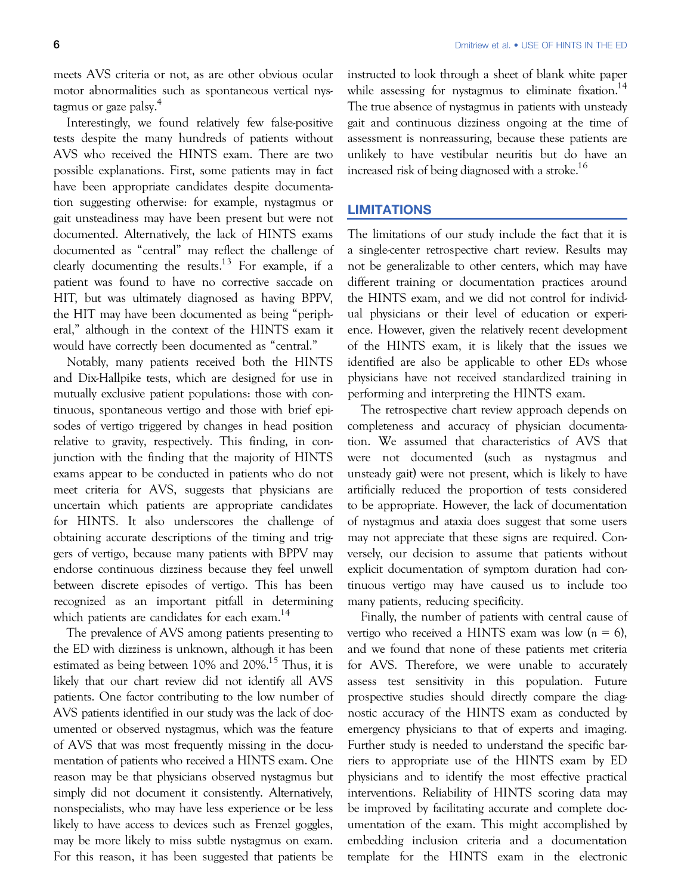meets AVS criteria or not, as are other obvious ocular motor abnormalities such as spontaneous vertical nystagmus or gaze palsy.4

Interestingly, we found relatively few false-positive tests despite the many hundreds of patients without AVS who received the HINTS exam. There are two possible explanations. First, some patients may in fact have been appropriate candidates despite documentation suggesting otherwise: for example, nystagmus or gait unsteadiness may have been present but were not documented. Alternatively, the lack of HINTS exams documented as "central" may reflect the challenge of clearly documenting the results.<sup>13</sup> For example, if a patient was found to have no corrective saccade on HIT, but was ultimately diagnosed as having BPPV, the HIT may have been documented as being "peripheral," although in the context of the HINTS exam it would have correctly been documented as "central."

Notably, many patients received both the HINTS and Dix-Hallpike tests, which are designed for use in mutually exclusive patient populations: those with continuous, spontaneous vertigo and those with brief episodes of vertigo triggered by changes in head position relative to gravity, respectively. This finding, in conjunction with the finding that the majority of HINTS exams appear to be conducted in patients who do not meet criteria for AVS, suggests that physicians are uncertain which patients are appropriate candidates for HINTS. It also underscores the challenge of obtaining accurate descriptions of the timing and triggers of vertigo, because many patients with BPPV may endorse continuous dizziness because they feel unwell between discrete episodes of vertigo. This has been recognized as an important pitfall in determining which patients are candidates for each exam.<sup>14</sup>

The prevalence of AVS among patients presenting to the ED with dizziness is unknown, although it has been estimated as being between 10% and 20%.<sup>15</sup> Thus, it is likely that our chart review did not identify all AVS patients. One factor contributing to the low number of AVS patients identified in our study was the lack of documented or observed nystagmus, which was the feature of AVS that was most frequently missing in the documentation of patients who received a HINTS exam. One reason may be that physicians observed nystagmus but simply did not document it consistently. Alternatively, nonspecialists, who may have less experience or be less likely to have access to devices such as Frenzel goggles, may be more likely to miss subtle nystagmus on exam. For this reason, it has been suggested that patients be

instructed to look through a sheet of blank white paper while assessing for nystagmus to eliminate fixation.<sup>14</sup> The true absence of nystagmus in patients with unsteady gait and continuous dizziness ongoing at the time of assessment is nonreassuring, because these patients are unlikely to have vestibular neuritis but do have an increased risk of being diagnosed with a stroke.<sup>16</sup>

## LIMITATIONS

The limitations of our study include the fact that it is a single-center retrospective chart review. Results may not be generalizable to other centers, which may have different training or documentation practices around the HINTS exam, and we did not control for individual physicians or their level of education or experience. However, given the relatively recent development of the HINTS exam, it is likely that the issues we identified are also be applicable to other EDs whose physicians have not received standardized training in performing and interpreting the HINTS exam.

The retrospective chart review approach depends on completeness and accuracy of physician documentation. We assumed that characteristics of AVS that were not documented (such as nystagmus and unsteady gait) were not present, which is likely to have artificially reduced the proportion of tests considered to be appropriate. However, the lack of documentation of nystagmus and ataxia does suggest that some users may not appreciate that these signs are required. Conversely, our decision to assume that patients without explicit documentation of symptom duration had continuous vertigo may have caused us to include too many patients, reducing specificity.

Finally, the number of patients with central cause of vertigo who received a HINTS exam was low  $(n = 6)$ , and we found that none of these patients met criteria for AVS. Therefore, we were unable to accurately assess test sensitivity in this population. Future prospective studies should directly compare the diagnostic accuracy of the HINTS exam as conducted by emergency physicians to that of experts and imaging. Further study is needed to understand the specific barriers to appropriate use of the HINTS exam by ED physicians and to identify the most effective practical interventions. Reliability of HINTS scoring data may be improved by facilitating accurate and complete documentation of the exam. This might accomplished by embedding inclusion criteria and a documentation template for the HINTS exam in the electronic